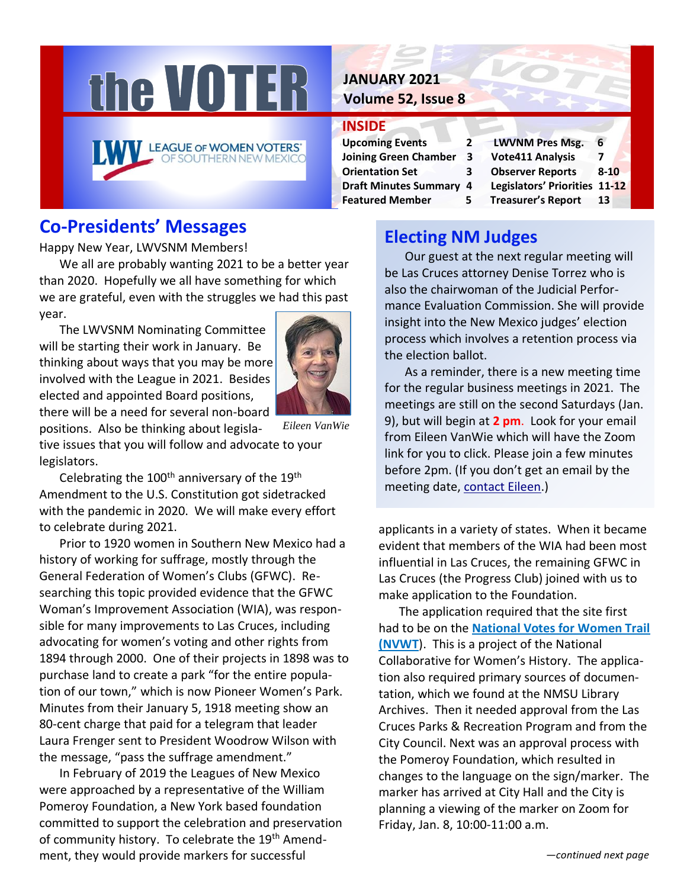

## **Co-Presidents' Messages**

Happy New Year, LWVSNM Members!

We all are probably wanting 2021 to be a better year than 2020. Hopefully we all have something for which we are grateful, even with the struggles we had this past year.

The LWVSNM Nominating Committee will be starting their work in January. Be thinking about ways that you may be more involved with the League in 2021. Besides elected and appointed Board positions,



there will be a need for several non-board

positions. Also be thinking about legislative issues that you will follow and advocate to your legislators. *Eileen VanWie*

Celebrating the  $100<sup>th</sup>$  anniversary of the  $19<sup>th</sup>$ Amendment to the U.S. Constitution got sidetracked with the pandemic in 2020. We will make every effort to celebrate during 2021.

Prior to 1920 women in Southern New Mexico had a history of working for suffrage, mostly through the General Federation of Women's Clubs (GFWC). Researching this topic provided evidence that the GFWC Woman's Improvement Association (WIA), was responsible for many improvements to Las Cruces, including advocating for women's voting and other rights from 1894 through 2000. One of their projects in 1898 was to purchase land to create a park "for the entire population of our town," which is now Pioneer Women's Park. Minutes from their January 5, 1918 meeting show an 80-cent charge that paid for a telegram that leader Laura Frenger sent to President Woodrow Wilson with the message, "pass the suffrage amendment."

In February of 2019 the Leagues of New Mexico were approached by a representative of the William Pomeroy Foundation, a New York based foundation committed to support the celebration and preservation of community history. To celebrate the 19<sup>th</sup> Amendment, they would provide markers for successful

## **JANUARY 2021 Volume 52, Issue 8**

#### **INSIDE**

**Upcoming Events 2 LWVNM Pres Msg. 6 Joining Green Chamber 3 Vote411 Analysis 7 Orientation Set 3 Observer Reports 8-10 Featured Member 5 Treasurer's Report 13**

**Draft Minutes Summary 4 Legislators' Priorities 11-12**

## **Electing NM Judges**

Our guest at the next regular meeting will be Las Cruces attorney Denise Torrez who is also the chairwoman of the Judicial Performance Evaluation Commission. She will provide insight into the New Mexico judges' election process which involves a retention process via the election ballot.

As a reminder, there is a new meeting time for the regular business meetings in 2021. The meetings are still on the second Saturdays (Jan. 9), but will begin at **2 pm**. Look for your email from Eileen VanWie which will have the Zoom link for you to click. Please join a few minutes before 2pm. (If you don't get an email by the meeting date, [contact Eileen.](mailto:vanwieek@yahoo.com?subject=Zoom%20Invite))

applicants in a variety of states. When it became evident that members of the WIA had been most influential in Las Cruces, the remaining GFWC in Las Cruces (the Progress Club) joined with us to make application to the Foundation.

The application required that the site first had to be on the **[National Votes for Women Trail](https://ncwhs.org/votes-for-women-trail/)  [\(NVWT](https://ncwhs.org/votes-for-women-trail/)**). This is a project of the National Collaborative for Women's History. The application also required primary sources of documentation, which we found at the NMSU Library Archives. Then it needed approval from the Las Cruces Parks & Recreation Program and from the City Council. Next was an approval process with the Pomeroy Foundation, which resulted in changes to the language on the sign/marker. The marker has arrived at City Hall and the City is planning a viewing of the marker on Zoom for Friday, Jan. 8, 10:00-11:00 a.m.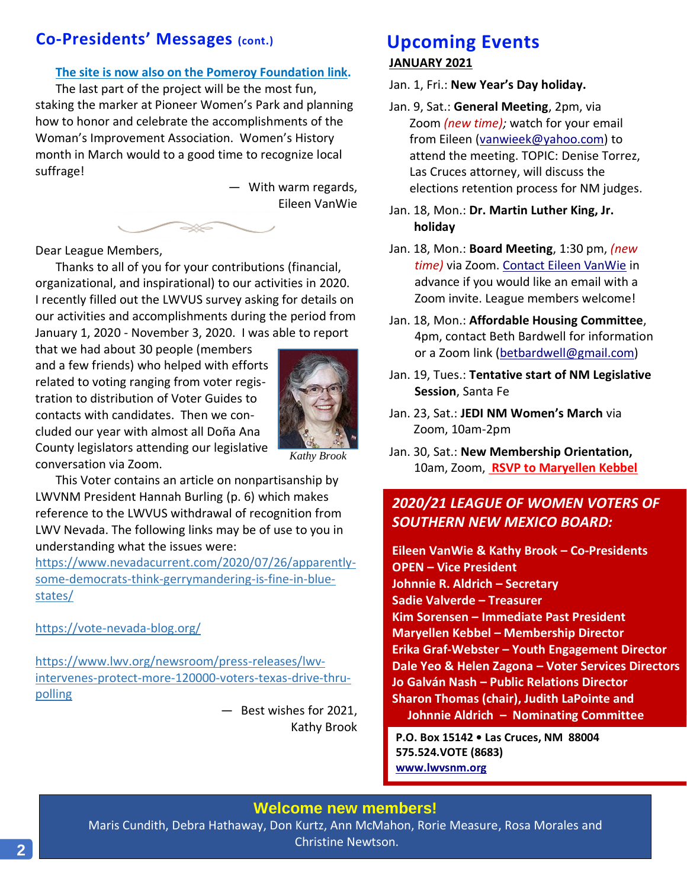## **Co-Presidents' Messages (cont.)**

#### **[The site is now also on the Pomeroy Foundation link.](https://www.wgpfoundation.org/history/map/)**

The last part of the project will be the most fun, staking the marker at Pioneer Women's Park and planning how to honor and celebrate the accomplishments of the Woman's Improvement Association. Women's History month in March would to a good time to recognize local suffrage!

> — With warm regards, Eileen VanWie

Dear League Members,

Thanks to all of you for your contributions (financial, organizational, and inspirational) to our activities in 2020. I recently filled out the LWVUS survey asking for details on our activities and accomplishments during the period from January 1, 2020 - November 3, 2020. I was able to report

ISS CO

that we had about 30 people (members and a few friends) who helped with efforts related to voting ranging from voter registration to distribution of Voter Guides to contacts with candidates. Then we concluded our year with almost all Doña Ana County legislators attending our legislative conversation via Zoom.



*Kathy Brook*

This Voter contains an article on nonpartisanship by LWVNM President Hannah Burling (p. 6) which makes reference to the LWVUS withdrawal of recognition from LWV Nevada. The following links may be of use to you in understanding what the issues were:

[https://www.nevadacurrent.com/2020/07/26/apparently](https://www.nevadacurrent.com/2020/07/26/apparently-some-democrats-think-gerrymandering-is-fine-in-blue-states/)[some-democrats-think-gerrymandering-is-fine-in-blue](https://www.nevadacurrent.com/2020/07/26/apparently-some-democrats-think-gerrymandering-is-fine-in-blue-states/)[states/](https://www.nevadacurrent.com/2020/07/26/apparently-some-democrats-think-gerrymandering-is-fine-in-blue-states/)

<https://vote-nevada-blog.org/>

[https://www.lwv.org/newsroom/press-releases/lwv](https://www.lwv.org/newsroom/press-releases/lwv-intervenes-protect-more-120000-voters-texas-drive-thru-polling)[intervenes-protect-more-120000-voters-texas-drive-thru](https://www.lwv.org/newsroom/press-releases/lwv-intervenes-protect-more-120000-voters-texas-drive-thru-polling)[polling](https://www.lwv.org/newsroom/press-releases/lwv-intervenes-protect-more-120000-voters-texas-drive-thru-polling)

> — Best wishes for 2021, Kathy Brook

## **JANUARY 2021 Upcoming Events**

Jan. 1, Fri.: **New Year's Day holiday.**

- Jan. 9, Sat.: **General Meeting**, 2pm, via Zoom *(new time);* watch for your email from Eileen [\(vanwieek@yahoo.com\)](mailto:vanwieek@yahoo.com) to attend the meeting. TOPIC: Denise Torrez, Las Cruces attorney, will discuss the elections retention process for NM judges.
- Jan. 18, Mon.: **Dr. Martin Luther King, Jr. holiday**
- Jan. 18, Mon.: **Board Meeting**, 1:30 pm, *(new time)* via Zoom. [Contact Eileen VanWie](mailto:vanwieek@yahoo.com) in advance if you would like an email with a Zoom invite. League members welcome!
- Jan. 18, Mon.: **Affordable Housing Committee**, 4pm, contact Beth Bardwell for information or a Zoom link [\(betbardwell@gmail.com\)](mailto:betbardwell@gmail.com)
- Jan. 19, Tues.: **Tentative start of NM Legislative Session**, Santa Fe
- Jan. 23, Sat.: **JEDI NM Women's March** via Zoom, 10am-2pm
- Jan. 30, Sat.: **New Membership Orientation,** 10am, Zoom, **[RSVP to Maryellen Kebbel](mailto:Maryellen.kebbel@gmail.com)**

## *2020/21 LEAGUE OF WOMEN VOTERS OF SOUTHERN NEW MEXICO BOARD:*

**Eileen VanWie & Kathy Brook – Co-Presidents OPEN – Vice President Johnnie R. Aldrich – Secretary Sadie Valverde – Treasurer Kim Sorensen – Immediate Past President Maryellen Kebbel – Membership Director Erika Graf-Webster – Youth Engagement Director Dale Yeo & Helen Zagona – Voter Services Directors Jo Galván Nash – Public Relations Director Sharon Thomas (chair), Judith LaPointe and Johnnie Aldrich – Nominating Committee**

**P.O. Box 15142 • Las Cruces, NM 88004 575.524.VOTE (8683) [www.lwvsnm.org](http://www.lwvsnm.org/)**

**Welcome new members!** 

Maris Cundith, Debra Hathaway, Don Kurtz, Ann McMahon, Rorie Measure, Rosa Morales and Christine Newtson.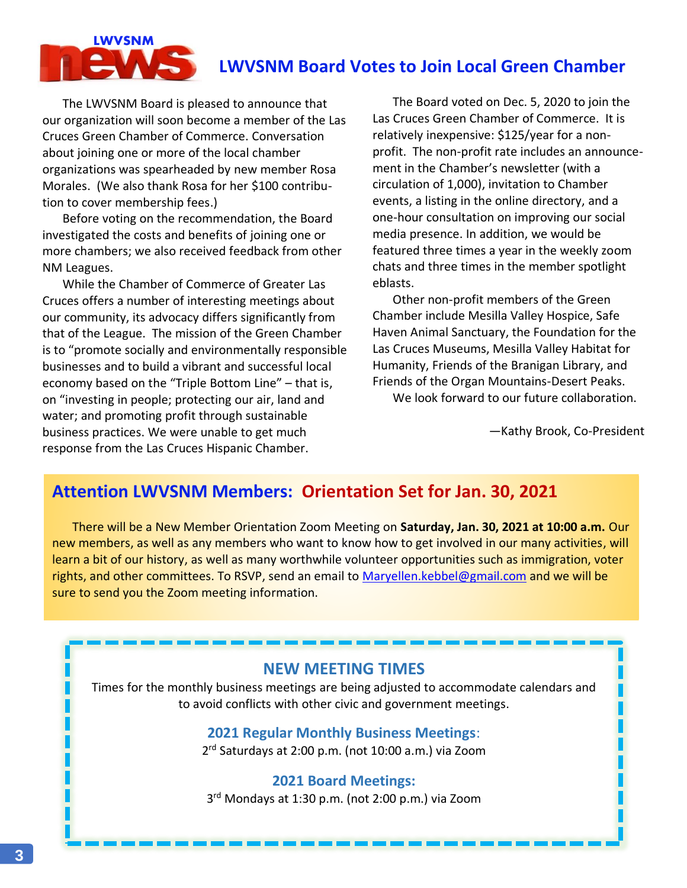# **LWVSNM**

## **LWVSNM Board Votes to Join Local Green Chamber**

The LWVSNM Board is pleased to announce that our organization will soon become a member of the Las Cruces Green Chamber of Commerce. Conversation about joining one or more of the local chamber organizations was spearheaded by new member Rosa Morales. (We also thank Rosa for her \$100 contribution to cover membership fees.)

Before voting on the recommendation, the Board investigated the costs and benefits of joining one or more chambers; we also received feedback from other NM Leagues.

While the Chamber of Commerce of Greater Las Cruces offers a number of interesting meetings about our community, its advocacy differs significantly from that of the League. The mission of the Green Chamber is to "promote socially and environmentally responsible businesses and to build a vibrant and successful local economy based on the "Triple Bottom Line" – that is, on "investing in people; protecting our air, land and water; and promoting profit through sustainable business practices. We were unable to get much response from the Las Cruces Hispanic Chamber.

The Board voted on Dec. 5, 2020 to join the Las Cruces Green Chamber of Commerce. It is relatively inexpensive: \$125/year for a nonprofit. The non-profit rate includes an announcement in the Chamber's newsletter (with a circulation of 1,000), invitation to Chamber events, a listing in the online directory, and a one-hour consultation on improving our social media presence. In addition, we would be featured three times a year in the weekly zoom chats and three times in the member spotlight eblasts.

Other non-profit members of the Green Chamber include Mesilla Valley Hospice, Safe Haven Animal Sanctuary, the Foundation for the Las Cruces Museums, Mesilla Valley Habitat for Humanity, Friends of the Branigan Library, and Friends of the Organ Mountains-Desert Peaks.

We look forward to our future collaboration.

—Kathy Brook, Co-President

## **Attention LWVSNM Members: Orientation Set for Jan. 30, 2021**

There will be a New Member Orientation Zoom Meeting on **Saturday, Jan. 30, 2021 at 10:00 a.m.** Our new members, as well as any members who want to know how to get involved in our many activities, will learn a bit of our history, as well as many worthwhile volunteer opportunities such as immigration, voter rights, and other committees. To RSVP, send an email to [Maryellen.kebbel@gmail.com](mailto:Maryellen.kebbel@gmail.com) and we will be sure to send you the Zoom meeting information.

#### **NEW MEETING TIMES**

Times for the monthly business meetings are being adjusted to accommodate calendars and to avoid conflicts with other civic and government meetings.

#### **2021 Regular Monthly Business Meetings**:

2 rd Saturdays at 2:00 p.m. (not 10:00 a.m.) via Zoom

#### **2021 Board Meetings:**

3 rd Mondays at 1:30 p.m. (not 2:00 p.m.) via Zoom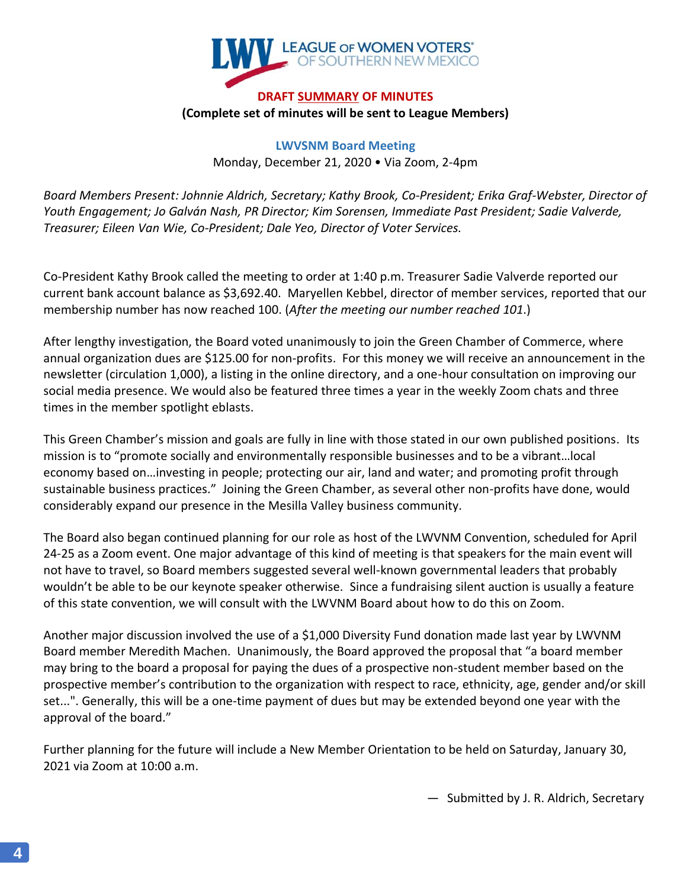

#### **DRAFT SUMMARY OF MINUTES (Complete set of minutes will be sent to League Members)**

**LWVSNM Board Meeting** Monday, December 21, 2020 • Via Zoom, 2-4pm

*Board Members Present: Johnnie Aldrich, Secretary; Kathy Brook, Co-President; Erika Graf-Webster, Director of Youth Engagement; Jo Galván Nash, PR Director; Kim Sorensen, Immediate Past President; Sadie Valverde, Treasurer; Eileen Van Wie, Co-President; Dale Yeo, Director of Voter Services.*

Co-President Kathy Brook called the meeting to order at 1:40 p.m. Treasurer Sadie Valverde reported our current bank account balance as \$3,692.40. Maryellen Kebbel, director of member services, reported that our membership number has now reached 100. (*After the meeting our number reached 101*.)

After lengthy investigation, the Board voted unanimously to join the Green Chamber of Commerce, where annual organization dues are \$125.00 for non-profits. For this money we will receive an announcement in the newsletter (circulation 1,000), a listing in the online directory, and a one-hour consultation on improving our social media presence. We would also be featured three times a year in the weekly Zoom chats and three times in the member spotlight eblasts.

This Green Chamber's mission and goals are fully in line with those stated in our own published positions. Its mission is to "promote socially and environmentally responsible businesses and to be a vibrant…local economy based on…investing in people; protecting our air, land and water; and promoting profit through sustainable business practices." Joining the Green Chamber, as several other non-profits have done, would considerably expand our presence in the Mesilla Valley business community.

The Board also began continued planning for our role as host of the LWVNM Convention, scheduled for April 24-25 as a Zoom event. One major advantage of this kind of meeting is that speakers for the main event will not have to travel, so Board members suggested several well-known governmental leaders that probably wouldn't be able to be our keynote speaker otherwise. Since a fundraising silent auction is usually a feature of this state convention, we will consult with the LWVNM Board about how to do this on Zoom.

Another major discussion involved the use of a \$1,000 Diversity Fund donation made last year by LWVNM Board member Meredith Machen. Unanimously, the Board approved the proposal that "a board member may bring to the board a proposal for paying the dues of a prospective non-student member based on the prospective member's contribution to the organization with respect to race, ethnicity, age, gender and/or skill set...". Generally, this will be a one-time payment of dues but may be extended beyond one year with the approval of the board."

Further planning for the future will include a New Member Orientation to be held on Saturday, January 30, 2021 via Zoom at 10:00 a.m.

— Submitted by J. R. Aldrich, Secretary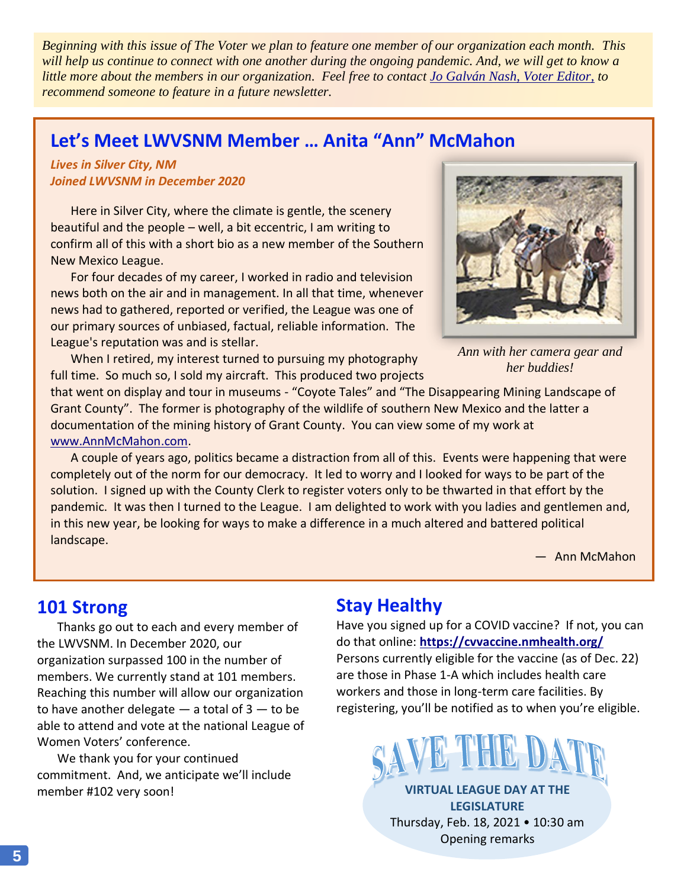*Beginning with this issue of The Voter we plan to feature one member of our organization each month. This will help us continue to connect with one another during the ongoing pandemic. And, we will get to know a little more about the members in our organization. Feel free to contact [Jo Galván Nash, Voter Editor,](mailto:jogalvan.nash@gmail.com) to recommend someone to feature in a future newsletter.*

## **Let's Meet LWVSNM Member … Anita "Ann" McMahon**

*Lives in Silver City, NM Joined LWVSNM in December 2020*

Here in Silver City, where the climate is gentle, the scenery beautiful and the people – well, a bit eccentric, I am writing to confirm all of this with a short bio as a new member of the Southern New Mexico League.

For four decades of my career, I worked in radio and television news both on the air and in management. In all that time, whenever news had to gathered, reported or verified, the League was one of our primary sources of unbiased, factual, reliable information. The League's reputation was and is stellar.

When I retired, my interest turned to pursuing my photography full time. So much so, I sold my aircraft. This produced two projects



*Ann with her camera gear and her buddies!*

that went on display and tour in museums - "Coyote Tales" and "The Disappearing Mining Landscape of Grant County". The former is photography of the wildlife of southern New Mexico and the latter a documentation of the mining history of Grant County. You can view some of my work at [www.AnnMcMahon.com.](http://www.annmcmahon.com/)

A couple of years ago, politics became a distraction from all of this. Events were happening that were completely out of the norm for our democracy. It led to worry and I looked for ways to be part of the solution. I signed up with the County Clerk to register voters only to be thwarted in that effort by the pandemic. It was then I turned to the League. I am delighted to work with you ladies and gentlemen and, in this new year, be looking for ways to make a difference in a much altered and battered political landscape.

— Ann McMahon

## **101 Strong**

Thanks go out to each and every member of the LWVSNM. In December 2020, our organization surpassed 100 in the number of members. We currently stand at 101 members. Reaching this number will allow our organization to have another delegate  $-$  a total of  $3 -$  to be able to attend and vote at the national League of Women Voters' conference.

We thank you for your continued commitment. And, we anticipate we'll include member #102 very soon!

## **Stay Healthy**

Have you signed up for a COVID vaccine? If not, you can do that online: **<https://cvvaccine.nmhealth.org/>** Persons currently eligible for the vaccine (as of Dec. 22) are those in Phase 1-A which includes health care workers and those in long-term care facilities. By registering, you'll be notified as to when you're eligible.



**VIRTUAL LEAGUE DAY AT THE LEGISLATURE** Thursday, Feb. 18, 2021 • 10:30 am Opening remarks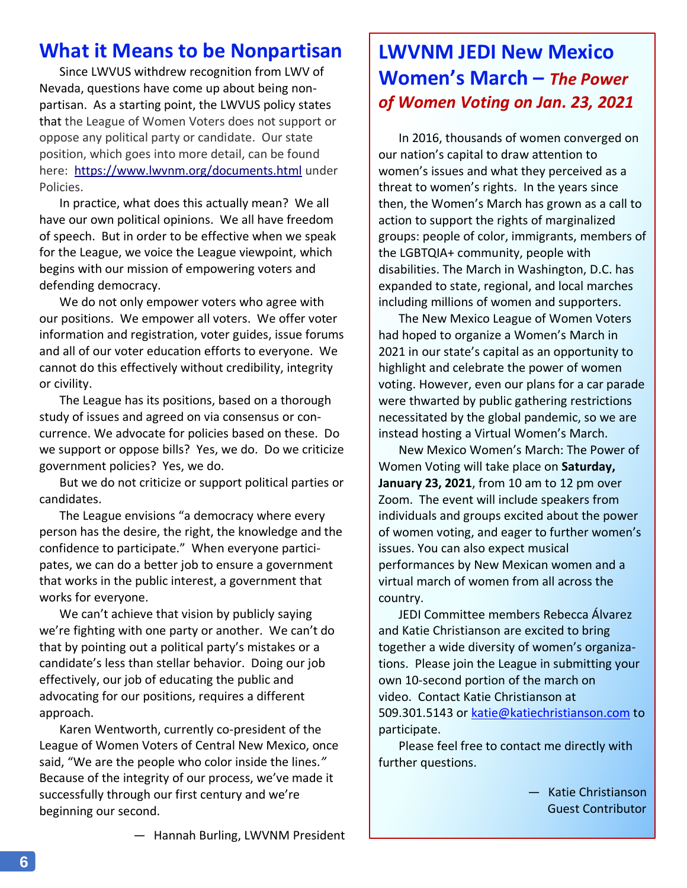## **What it Means to be Nonpartisan**

Since LWVUS withdrew recognition from LWV of Nevada, questions have come up about being nonpartisan. As a starting point, the LWVUS policy states that the League of Women Voters does not support or oppose any political party or candidate. Our state position, which goes into more detail, can be found here: <https://www.lwvnm.org/documents.html> under Policies.

In practice, what does this actually mean? We all have our own political opinions. We all have freedom of speech. But in order to be effective when we speak for the League, we voice the League viewpoint, which begins with our mission of empowering voters and defending democracy.

We do not only empower voters who agree with our positions. We empower all voters. We offer voter information and registration, voter guides, issue forums and all of our voter education efforts to everyone. We cannot do this effectively without credibility, integrity or civility.

The League has its positions, based on a thorough study of issues and agreed on via consensus or concurrence. We advocate for policies based on these. Do we support or oppose bills? Yes, we do. Do we criticize government policies? Yes, we do.

But we do not criticize or support political parties or candidates.

The League envisions "a democracy where every person has the desire, the right, the knowledge and the confidence to participate." When everyone participates, we can do a better job to ensure a government that works in the public interest, a government that works for everyone.

We can't achieve that vision by publicly saying we're fighting with one party or another. We can't do that by pointing out a political party's mistakes or a candidate's less than stellar behavior. Doing our job effectively, our job of educating the public and advocating for our positions, requires a different approach.

Karen Wentworth, currently co-president of the League of Women Voters of Central New Mexico, once said, "We are the people who color inside the lines*."*  Because of the integrity of our process, we've made it successfully through our first century and we're beginning our second.

# **LWVNM JEDI New Mexico Women's March –** *The Power of Women Voting on Jan. 23, 2021*

In 2016, thousands of women converged on our nation's capital to draw attention to women's issues and what they perceived as a threat to women's rights. In the years since then, the Women's March has grown as a call to action to support the rights of marginalized groups: people of color, immigrants, members of the LGBTQIA+ community, people with disabilities. The March in Washington, D.C. has expanded to state, regional, and local marches including millions of women and supporters.

The New Mexico League of Women Voters had hoped to organize a Women's March in 2021 in our state's capital as an opportunity to highlight and celebrate the power of women voting. However, even our plans for a car parade were thwarted by public gathering restrictions necessitated by the global pandemic, so we are instead hosting a Virtual Women's March.

New Mexico Women's March: The Power of Women Voting will take place on **Saturday, January 23, 2021**, from 10 am to 12 pm over Zoom. The event will include speakers from individuals and groups excited about the power of women voting, and eager to further women's issues. You can also expect musical performances by New Mexican women and a virtual march of women from all across the country.

JEDI Committee members Rebecca Álvarez and Katie Christianson are excited to bring together a wide diversity of women's organizations. Please join the League in submitting your own 10-second portion of the march on video. Contact Katie Christianson at 509.301.5143 or [katie@katiechristianson.com](mailto:katie@katiechristianson.com) to participate.

Please feel free to contact me directly with further questions.

> — Katie Christianson Guest Contributor

— Hannah Burling, LWVNM President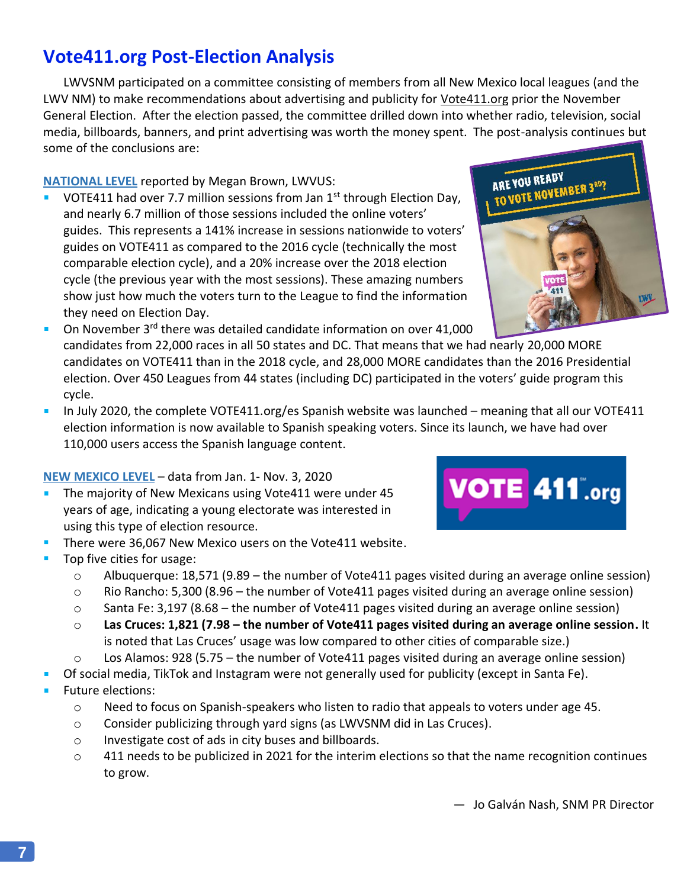— Jo Galván Nash, SNM PR Director

## **Vote411.org Post-Election Analysis**

LWVSNM participated on a committee consisting of members from all New Mexico local leagues (and the LWV NM) to make recommendations about advertising and publicity for Vote411.org prior the November General Election. After the election passed, the committee drilled down into whether radio, television, social media, billboards, banners, and print advertising was worth the money spent. The post-analysis continues but some of the conclusions are:

#### **NATIONAL LEVEL** reported by Megan Brown, LWVUS:

- VOTE411 had over 7.7 million sessions from Jan 1<sup>st</sup> through Election Day, and nearly 6.7 million of those sessions included the online voters' guides. This represents a 141% increase in sessions nationwide to voters' guides on VOTE411 as compared to the 2016 cycle (technically the most comparable election cycle), and a 20% increase over the 2018 election cycle (the previous year with the most sessions). These amazing numbers show just how much the voters turn to the League to find the information they need on Election Day.
- On November 3rd there was detailed candidate information on over 41,000 candidates from 22,000 races in all 50 states and DC. That means that we had nearly 20,000 MORE candidates on VOTE411 than in the 2018 cycle, and 28,000 MORE candidates than the 2016 Presidential election. Over 450 Leagues from 44 states (including DC) participated in the voters' guide program this cycle.
- In July 2020, the complete VOTE411.org/es Spanish website was launched meaning that all our VOTE411  $\mathcal{L}_{\mathcal{A}}$ election information is now available to Spanish speaking voters. Since its launch, we have had over 110,000 users access the Spanish language content.

#### **NEW MEXICO LEVEL** – data from Jan. 1- Nov. 3, 2020

- The majority of New Mexicans using Vote411 were under 45  $\blacksquare$ years of age, indicating a young electorate was interested in using this type of election resource.
- There were 36,067 New Mexico users on the Vote411 website.
- Top five cities for usage:
	- $\circ$  Albuquerque: 18,571 (9.89 the number of Vote411 pages visited during an average online session)
	- o Rio Rancho: 5,300 (8.96 the number of Vote411 pages visited during an average online session)
	- $\circ$  Santa Fe: 3,197 (8.68 the number of Vote411 pages visited during an average online session)
	- o **Las Cruces: 1,821 (7.98 – the number of Vote411 pages visited during an average online session.** It is noted that Las Cruces' usage was low compared to other cities of comparable size.)
	- $\circ$  Los Alamos: 928 (5.75 the number of Vote411 pages visited during an average online session)
- Of social media, TikTok and Instagram were not generally used for publicity (except in Santa Fe).
- Future elections:
	- $\circ$  Need to focus on Spanish-speakers who listen to radio that appeals to voters under age 45.
	- o Consider publicizing through yard signs (as LWVSNM did in Las Cruces).
	- o Investigate cost of ads in city buses and billboards.
	- $\circ$  411 needs to be publicized in 2021 for the interim elections so that the name recognition continues to grow.



ARE YOU READY

ARE YOU READT TO VOTE NOVEMBER 3RD?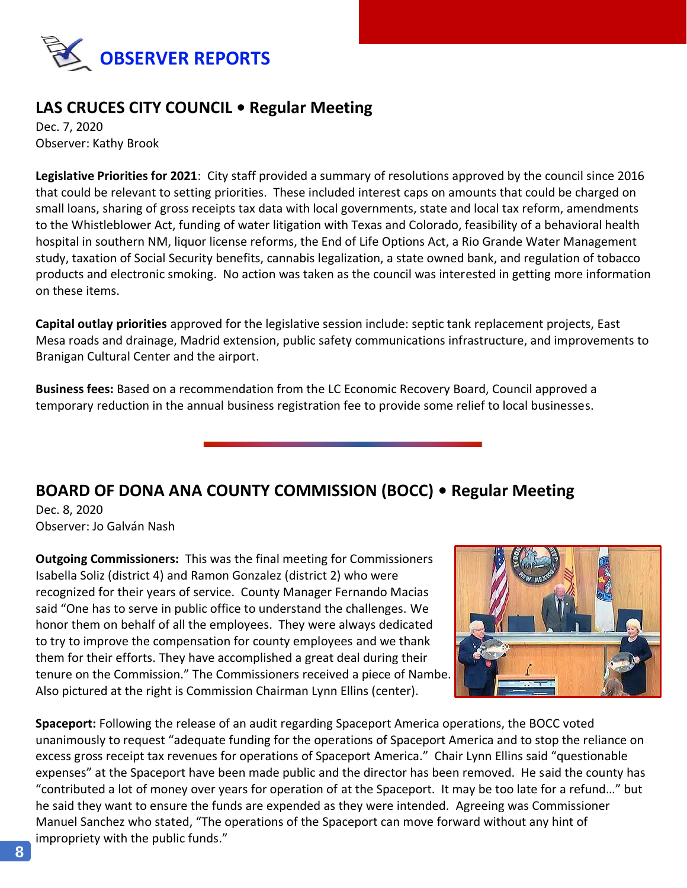

## **LAS CRUCES CITY COUNCIL • Regular Meeting**

Dec. 7, 2020 Observer: Kathy Brook

**Legislative Priorities for 2021**: City staff provided a summary of resolutions approved by the council since 2016 that could be relevant to setting priorities. These included interest caps on amounts that could be charged on small loans, sharing of gross receipts tax data with local governments, state and local tax reform, amendments to the Whistleblower Act, funding of water litigation with Texas and Colorado, feasibility of a behavioral health hospital in southern NM, liquor license reforms, the End of Life Options Act, a Rio Grande Water Management study, taxation of Social Security benefits, cannabis legalization, a state owned bank, and regulation of tobacco products and electronic smoking. No action was taken as the council was interested in getting more information on these items.

**Capital outlay priorities** approved for the legislative session include: septic tank replacement projects, East Mesa roads and drainage, Madrid extension, public safety communications infrastructure, and improvements to Branigan Cultural Center and the airport.

**Business fees:** Based on a recommendation from the LC Economic Recovery Board, Council approved a temporary reduction in the annual business registration fee to provide some relief to local businesses.

## **BOARD OF DONA ANA COUNTY COMMISSION (BOCC) • Regular Meeting**

Dec. 8, 2020 Observer: Jo Galván Nash

**Outgoing Commissioners:** This was the final meeting for Commissioners Isabella Soliz (district 4) and Ramon Gonzalez (district 2) who were recognized for their years of service. County Manager Fernando Macias said "One has to serve in public office to understand the challenges. We honor them on behalf of all the employees. They were always dedicated to try to improve the compensation for county employees and we thank them for their efforts. They have accomplished a great deal during their tenure on the Commission." The Commissioners received a piece of Nambe. Also pictured at the right is Commission Chairman Lynn Ellins (center).



**Spaceport:** Following the release of an audit regarding Spaceport America operations, the BOCC voted unanimously to request "adequate funding for the operations of Spaceport America and to stop the reliance on excess gross receipt tax revenues for operations of Spaceport America." Chair Lynn Ellins said "questionable expenses" at the Spaceport have been made public and the director has been removed. He said the county has "contributed a lot of money over years for operation of at the Spaceport. It may be too late for a refund…" but he said they want to ensure the funds are expended as they were intended. Agreeing was Commissioner Manuel Sanchez who stated, "The operations of the Spaceport can move forward without any hint of impropriety with the public funds."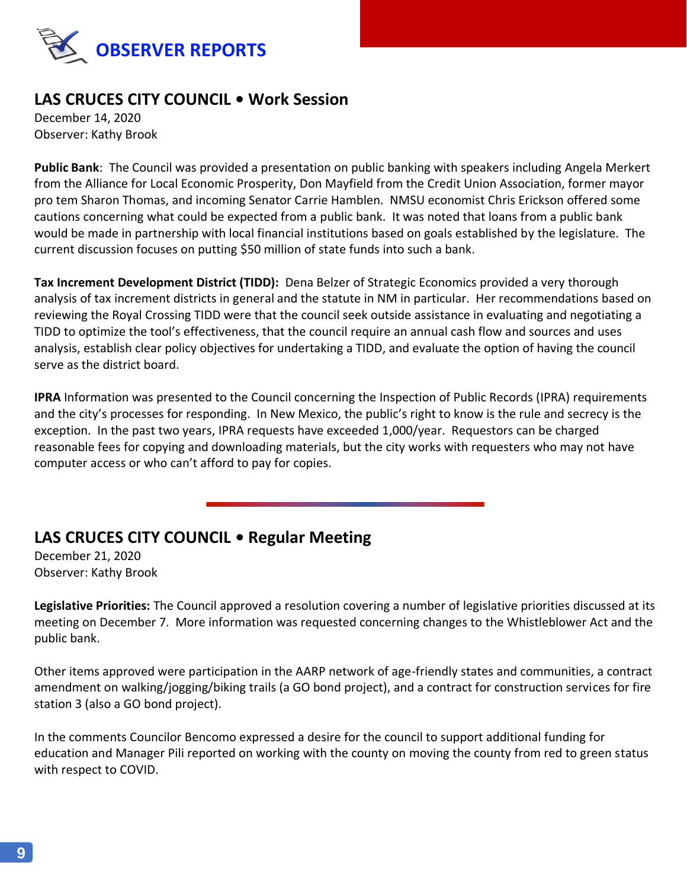

## **LAS CRUCES CITY COUNCIL • Work Session**

December 14, 2020 Observer: Kathy Brook

**Public Bank**: The Council was provided a presentation on public banking with speakers including Angela Merkert from the Alliance for Local Economic Prosperity, Don Mayfield from the Credit Union Association, former mayor pro tem Sharon Thomas, and incoming Senator Carrie Hamblen. NMSU economist Chris Erickson offered some cautions concerning what could be expected from a public bank. It was noted that loans from a public bank would be made in partnership with local financial institutions based on goals established by the legislature. The current discussion focuses on putting \$50 million of state funds into such a bank.

**Tax Increment Development District (TIDD):** Dena Belzer of Strategic Economics provided a very thorough analysis of tax increment districts in general and the statute in NM in particular. Her recommendations based on reviewing the Royal Crossing TIDD were that the council seek outside assistance in evaluating and negotiating a TIDD to optimize the tool's effectiveness, that the council require an annual cash flow and sources and uses analysis, establish clear policy objectives for undertaking a TIDD, and evaluate the option of having the council serve as the district board.

**IPRA** Information was presented to the Council concerning the Inspection of Public Records (IPRA) requirements and the city's processes for responding. In New Mexico, the public's right to know is the rule and secrecy is the exception. In the past two years, IPRA requests have exceeded 1,000/year. Requestors can be charged reasonable fees for copying and downloading materials, but the city works with requesters who may not have computer access or who can't afford to pay for copies.

## **LAS CRUCES CITY COUNCIL • Regular Meeting**

December 21, 2020 Observer: Kathy Brook

**Legislative Priorities:** The Council approved a resolution covering a number of legislative priorities discussed at its meeting on December 7. More information was requested concerning changes to the Whistleblower Act and the public bank.

Other items approved were participation in the AARP network of age-friendly states and communities, a contract amendment on walking/jogging/biking trails (a GO bond project), and a contract for construction services for fire station 3 (also a GO bond project).

In the comments Councilor Bencomo expressed a desire for the council to support additional funding for education and Manager Pili reported on working with the county on moving the county from red to green status with respect to COVID.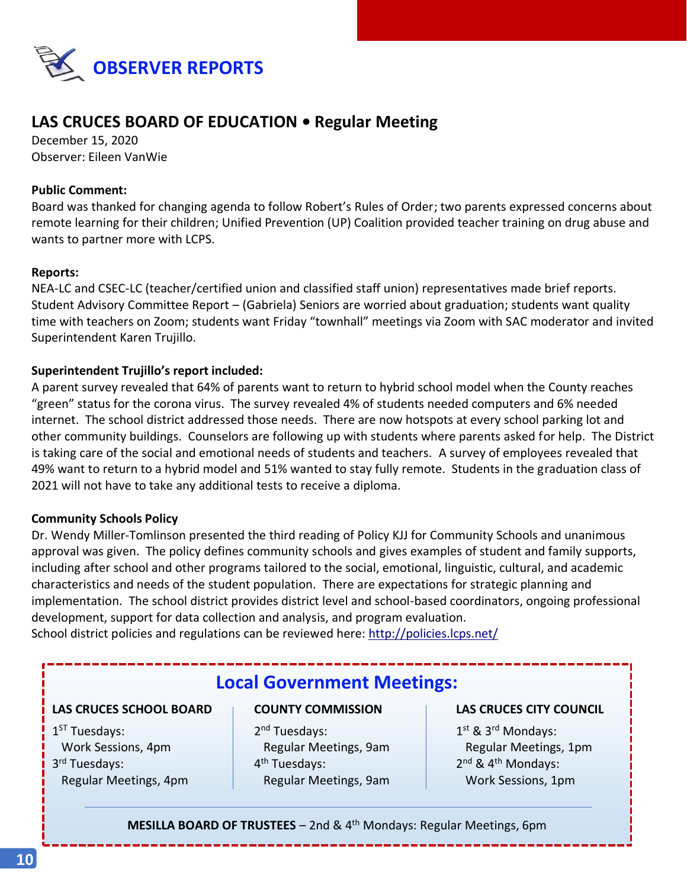

## **LAS CRUCES BOARD OF EDUCATION • Regular Meeting**

December 15, 2020 Observer: Eileen VanWie

#### **Public Comment:**

Board was thanked for changing agenda to follow Robert's Rules of Order; two parents expressed concerns about remote learning for their children; Unified Prevention (UP) Coalition provided teacher training on drug abuse and wants to partner more with LCPS.

#### **Reports:**

NEA-LC and CSEC-LC (teacher/certified union and classified staff union) representatives made brief reports. Student Advisory Committee Report – (Gabriela) Seniors are worried about graduation; students want quality time with teachers on Zoom; students want Friday "townhall" meetings via Zoom with SAC moderator and invited Superintendent Karen Trujillo.

#### **Superintendent Trujillo's report included:**

A parent survey revealed that 64% of parents want to return to hybrid school model when the County reaches "green" status for the corona virus. The survey revealed 4% of students needed computers and 6% needed internet. The school district addressed those needs. There are now hotspots at every school parking lot and other community buildings. Counselors are following up with students where parents asked for help. The District is taking care of the social and emotional needs of students and teachers. A survey of employees revealed that 49% want to return to a hybrid model and 51% wanted to stay fully remote. Students in the graduation class of 2021 will not have to take any additional tests to receive a diploma.

#### **Community Schools Policy**

Dr. Wendy Miller-Tomlinson presented the third reading of Policy KJJ for Community Schools and unanimous approval was given. The policy defines community schools and gives examples of student and family supports, including after school and other programs tailored to the social, emotional, linguistic, cultural, and academic characteristics and needs of the student population. There are expectations for strategic planning and implementation. The school district provides district level and school-based coordinators, ongoing professional development, support for data collection and analysis, and program evaluation.

School district policies and regulations can be reviewed here:<http://policies.lcps.net/>

## **Local Government Meetings:**

#### **LAS CRUCES SCHOOL BOARD COUNTY COMMISSION LAS CRUCES CITY COUNCIL**

1<sup>ST</sup> Tuesdays: 2 3 rd Tuesdays: 4

2<sup>nd</sup> Tuesdays: Work Sessions, 4pm Regular Meetings, 9am Regular Meetings, 1pm 4<sup>th</sup> Tuesdays: Regular Meetings, 4pm **Regular Meetings, 9am** Work Sessions, 1pm

1<sup>st</sup> & 3<sup>rd</sup> Mondays:  $2^{nd}$  & 4<sup>th</sup> Mondays:

**MESILLA BOARD OF TRUSTEES** - 2nd & 4<sup>th</sup> Mondays: Regular Meetings, 6pm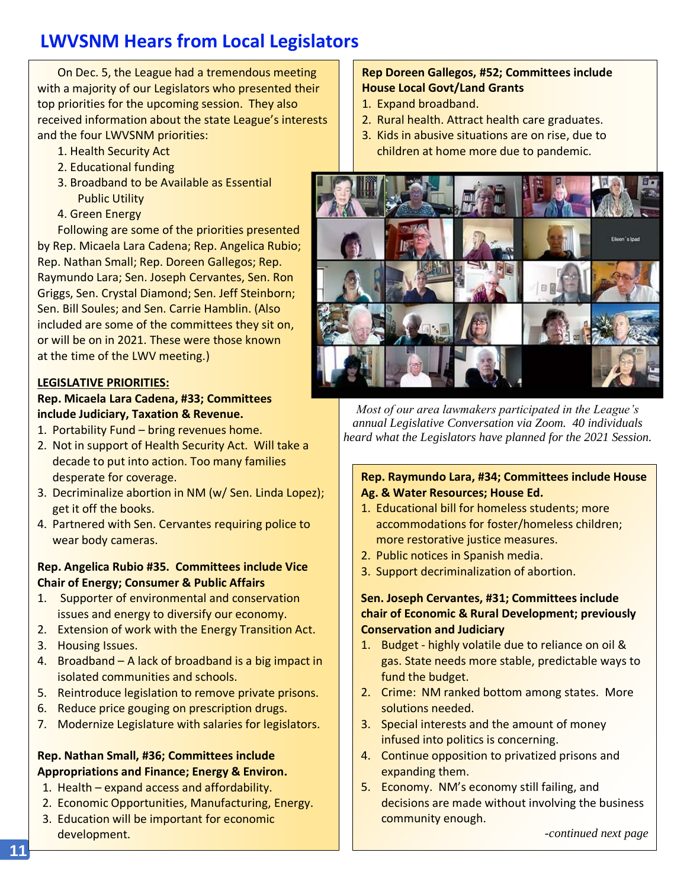# **LWVSNM Hears from Local Legislators**

On Dec. 5, the League had a tremendous meeting with a majority of our Legislators who presented their top priorities for the upcoming session. They also received information about the state League's interests and the four LWVSNM priorities:

- 1. Health Security Act
- 2. Educational funding
- 3. Broadband to be Available as Essential Public Utility
- 4. Green Energy

Following are some of the priorities presented by Rep. Micaela Lara Cadena; Rep. Angelica Rubio; Rep. Nathan Small; Rep. Doreen Gallegos; Rep. Raymundo Lara; Sen. Joseph Cervantes, Sen. Ron Griggs, Sen. Crystal Diamond; Sen. Jeff Steinborn; Sen. Bill Soules; and Sen. Carrie Hamblin. (Also included are some of the committees they sit on, or will be on in 2021. These were those known at the time of the LWV meeting.)

#### **LEGISLATIVE PRIORITIES:**

#### **Rep. Micaela Lara Cadena, #33; Committees include Judiciary, Taxation & Revenue.**

- 1. Portability Fund bring revenues home.
- 2. Not in support of Health Security Act. Will take a decade to put into action. Too many families desperate for coverage.
- 3. Decriminalize abortion in NM (w/ Sen. Linda Lopez); get it off the books.
- 4. Partnered with Sen. Cervantes requiring police to wear body cameras.

#### **Rep. Angelica Rubio #35. Committees include Vice Chair of Energy; Consumer & Public Affairs**

- 1. Supporter of environmental and conservation issues and energy to diversify our economy.
- 2. Extension of work with the Energy Transition Act. 3. Housing Issues.
- 4. Broadband A lack of broadband is a big impact in isolated communities and schools.
- 5. Reintroduce legislation to remove private prisons.
- 6. Reduce price gouging on prescription drugs.
- 7. Modernize Legislature with salaries for legislators.

#### **Rep. Nathan Small, #36; Committees include Appropriations and Finance; Energy & Environ.**

- 1. Health expand access and affordability.
- 2. Economic Opportunities, Manufacturing, Energy.
- 3. Education will be important for economic development.

#### **Rep Doreen Gallegos, #52; Committees include House Local Govt/Land Grants**

- 1. Expand broadband.
- 2. Rural health. Attract health care graduates.
- 3. Kids in abusive situations are on rise, due to children at home more due to pandemic.



*Most of our area lawmakers participated in the League's annual Legislative Conversation via Zoom. 40 individuals heard what the Legislators have planned for the 2021 Session.*

#### **Rep. Raymundo Lara, #34; Committees include House Ag. & Water Resources; House Ed.**

- 1. Educational bill for homeless students; more accommodations for foster/homeless children; more restorative justice measures.
- 2. Public notices in Spanish media.
- 3. Support decriminalization of abortion.

#### **Sen. Joseph Cervantes, #31; Committees include chair of Economic & Rural Development; previously Conservation and Judiciary**

- 1. Budget highly volatile due to reliance on oil & gas. State needs more stable, predictable ways to fund the budget.
- 2. Crime: NM ranked bottom among states. More solutions needed.
- 3. Special interests and the amount of money infused into politics is concerning.
- 4. Continue opposition to privatized prisons and expanding them.
- 5. Economy. NM's economy still failing, and decisions are made without involving the business community enough.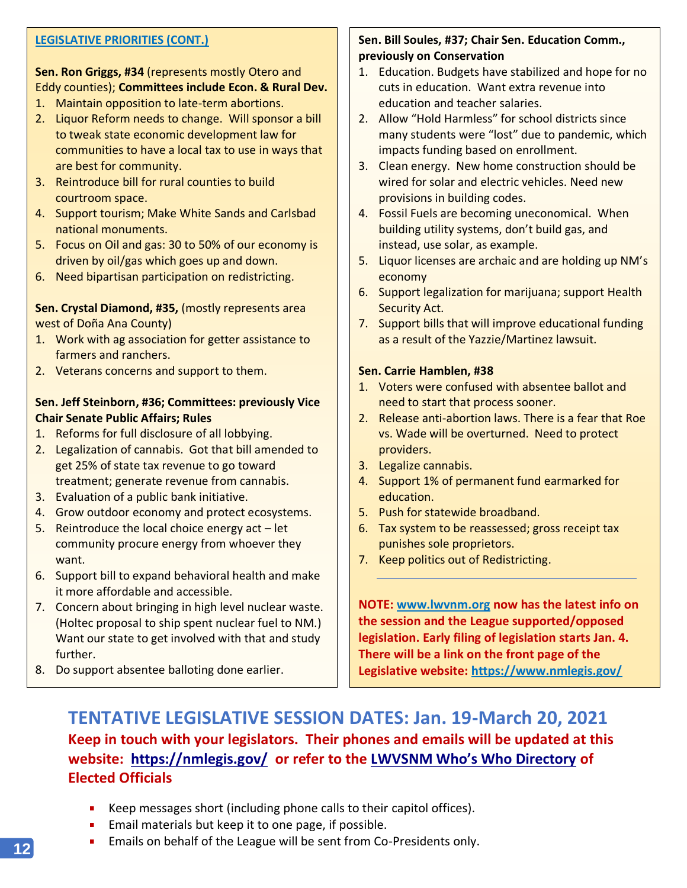#### **LEGISLATIVE PRIORITIES (CONT.)**

#### **Sen. Ron Griggs, #34** (represents mostly Otero and Eddy counties); **Committees include Econ. & Rural Dev.**

- 1. Maintain opposition to late-term abortions.
- 2. Liquor Reform needs to change. Will sponsor a bill to tweak state economic development law for communities to have a local tax to use in ways that are best for community.
- 3. Reintroduce bill for rural counties to build courtroom space.
- 4. Support tourism; Make White Sands and Carlsbad national monuments.
- 5. Focus on Oil and gas: 30 to 50% of our economy is driven by oil/gas which goes up and down.
- 6. Need bipartisan participation on redistricting.

#### **Sen. Crystal Diamond, #35,** (mostly represents area west of Doña Ana County)

- 1. Work with ag association for getter assistance to farmers and ranchers.
- 2. Veterans concerns and support to them.

#### **Sen. Jeff Steinborn, #36; Committees: previously Vice Chair Senate Public Affairs; Rules**

- 1. Reforms for full disclosure of all lobbying.
- 2. Legalization of cannabis. Got that bill amended to get 25% of state tax revenue to go toward treatment; generate revenue from cannabis.
- 3. Evaluation of a public bank initiative.
- 4. Grow outdoor economy and protect ecosystems.
- 5. Reintroduce the local choice energy  $act let$ community procure energy from whoever they want.
- 6. Support bill to expand behavioral health and make it more affordable and accessible.
- 7. Concern about bringing in high level nuclear waste. (Holtec proposal to ship spent nuclear fuel to NM.) Want our state to get involved with that and study further.
- 8. Do support absentee balloting done earlier.

#### **Sen. Bill Soules, #37; Chair Sen. Education Comm., previously on Conservation**

- 1. Education. Budgets have stabilized and hope for no cuts in education. Want extra revenue into education and teacher salaries.
- 2. Allow "Hold Harmless" for school districts since many students were "lost" due to pandemic, which impacts funding based on enrollment.
- 3. Clean energy. New home construction should be wired for solar and electric vehicles. Need new provisions in building codes.
- 4. Fossil Fuels are becoming uneconomical. When building utility systems, don't build gas, and instead, use solar, as example.
- 5. Liquor licenses are archaic and are holding up NM's economy
- 6. Support legalization for marijuana; support Health Security Act.
- 7. Support bills that will improve educational funding as a result of the Yazzie/Martinez lawsuit.

#### **Sen. Carrie Hamblen, #38**

- 1. Voters were confused with absentee ballot and need to start that process sooner.
- 2. Release anti-abortion laws. There is a fear that Roe vs. Wade will be overturned. Need to protect providers.
- 3. Legalize cannabis.
- 4. Support 1% of permanent fund earmarked for education.
- 5. Push for statewide broadband.
- 6. Tax system to be reassessed; gross receipt tax punishes sole proprietors.
- 7. Keep politics out of Redistricting.

**NOTE: [www.lwvnm.org](http://www.lwvnm.org/) now has the latest info on the session and the League supported/opposed legislation. Early filing of legislation starts Jan. 4. There will be a link on the front page of the Legislative website:<https://www.nmlegis.gov/>**

## **TENTATIVE LEGISLATIVE SESSION DATES: Jan. 19-March 20, 2021 Keep in touch with your legislators. Their phones and emails will be updated at this website: <https://nmlegis.gov/> or refer to the [LWVSNM Who's Who Directory](https://www.lwvsnm.org/wp-content/uploads/2020/11/whoswho_111920.pdf) of Elected Officials**

- Keep messages short (including phone calls to their capitol offices).
- $\mathbf{u}$ Email materials but keep it to one page, if possible.
- $\mathbf{u}$ Emails on behalf of the League will be sent from Co-Presidents only.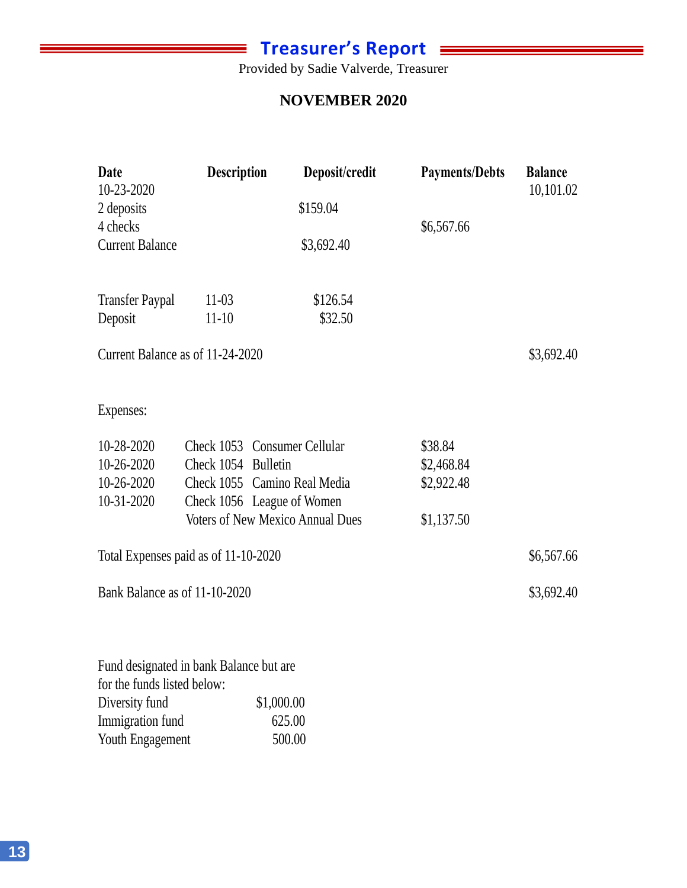## **Treasurer's Report**

Ξ

Provided by Sadie Valverde, Treasurer Provided by Sadie Valverde, Treasurer

#### Citizens Bank Account #6101 **NOVEMBER 2020**

| Date<br>10-23-2020                   | <b>Description</b>   | Deposit/credit                          | <b>Payments/Debts</b>    | <b>Balance</b><br>10,101.02 |
|--------------------------------------|----------------------|-----------------------------------------|--------------------------|-----------------------------|
| 2 deposits                           |                      | \$159.04                                |                          |                             |
| 4 checks<br><b>Current Balance</b>   |                      | \$3,692.40                              | \$6,567.66               |                             |
| <b>Transfer Paypal</b><br>Deposit    | $11-03$<br>$11 - 10$ | \$126.54<br>\$32.50                     |                          |                             |
| Current Balance as of 11-24-2020     |                      |                                         |                          | \$3,692.40                  |
| Expenses:                            |                      |                                         |                          |                             |
| 10-28-2020                           |                      | Check 1053 Consumer Cellular            | \$38.84                  |                             |
| 10-26-2020<br>10-26-2020             | Check 1054 Bulletin  | Check 1055 Camino Real Media            | \$2,468.84<br>\$2,922.48 |                             |
| 10-31-2020                           |                      | Check 1056 League of Women              |                          |                             |
|                                      |                      | <b>Voters of New Mexico Annual Dues</b> | \$1,137.50               |                             |
| Total Expenses paid as of 11-10-2020 |                      |                                         |                          | \$6,567.66                  |
| Bank Balance as of 11-10-2020        |                      |                                         |                          | \$3,692.40                  |
|                                      |                      |                                         |                          |                             |

Fund designated in bank Balance but are for the funds listed below: Diversity fund \$1,000.00<br>Immigration fund 625.00 Immigration fund Youth Engagement 500.00